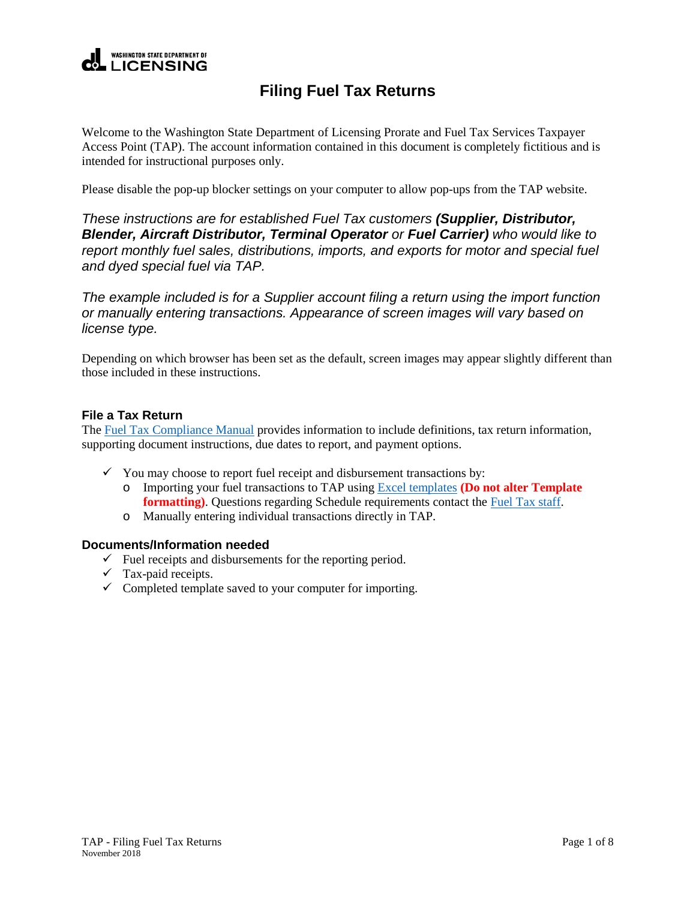## **WASHINGTON STATE DEPARTMENT OF LICENSING**

# **Filing Fuel Tax Returns**

Welcome to the Washington State Department of Licensing Prorate and Fuel Tax Services Taxpayer Access Point (TAP). The account information contained in this document is completely fictitious and is intended for instructional purposes only.

Please disable the pop-up blocker settings on your computer to allow pop-ups from the TAP website.

*These instructions are for established Fuel Tax customers (Supplier, Distributor, Blender, Aircraft Distributor, Terminal Operator or Fuel Carrier) who would like to report monthly fuel sales, distributions, imports, and exports for motor and special fuel and dyed special fuel via TAP.* 

*The example included is for a Supplier account filing a return using the import function or manually entering transactions. Appearance of screen images will vary based on license type.*

Depending on which browser has been set as the default, screen images may appear slightly different than those included in these instructions.

## **File a Tax Return**

The [Fuel Tax Compliance Manual](https://www.dol.wa.gov/vehicleregistration/docs/fuel-tax-compliance-guide.pdf) provides information to include definitions, tax return information, supporting document instructions, due dates to report, and payment options.

- $\checkmark$  You may choose to report fuel receipt and disbursement transactions by:
	- o Importing your fuel transactions to TAP using [Excel templates](https://www.dol.wa.gov/vehicleregistration/tap.html) **(Do not alter Template formatting)**. Questions regarding Schedule requirements contact the [Fuel Tax staff.](#page-7-0)
	- o Manually entering individual transactions directly in TAP.

#### **Documents/Information needed**

- $\checkmark$  Fuel receipts and disbursements for the reporting period.
- $\checkmark$  Tax-paid receipts.
- $\checkmark$  Completed template saved to your computer for importing.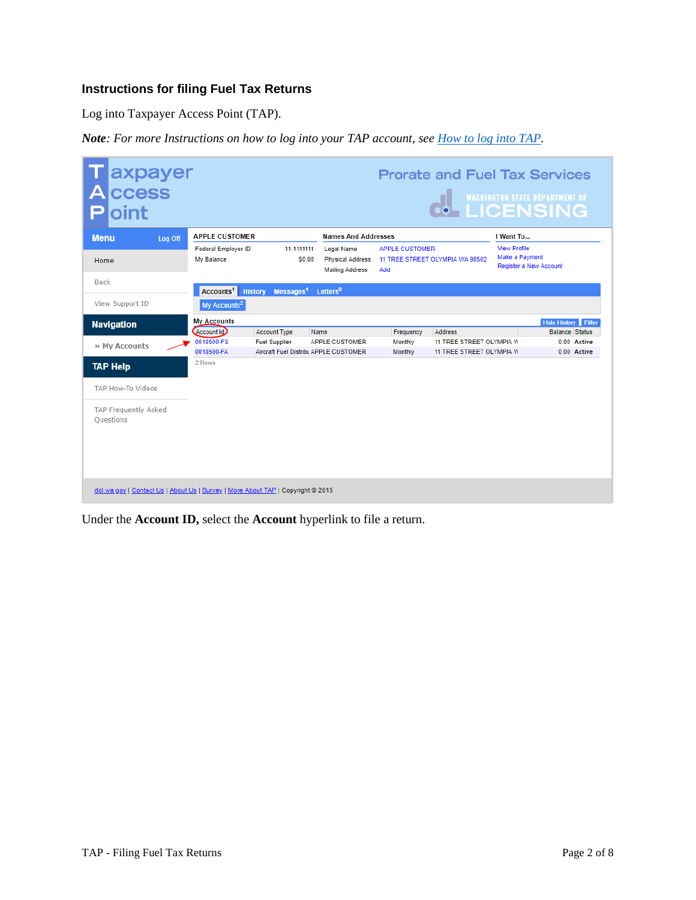# **Instructions for filing Fuel Tax Returns**

Log into Taxpayer Access Point (TAP).

*Note: For more Instructions on how to log into your TAP account, see [How to log into TAP.](http://www.dol.wa.gov/vehicleregistration/docs/TAP-how-to-log-into-tap.pdf)*

| axpayer<br>ccess<br>Α<br>oint<br>₽       |                                                                                 |                                                                                  | <b>Prorate and Fuel Tax Services</b>                                       | WASHINGTON STATE DEPARTMENT OF                                  |
|------------------------------------------|---------------------------------------------------------------------------------|----------------------------------------------------------------------------------|----------------------------------------------------------------------------|-----------------------------------------------------------------|
| <b>Menu</b><br>Log Off                   | <b>APPLE CUSTOMER</b>                                                           | <b>Names And Addresses</b>                                                       |                                                                            | I Want To                                                       |
| Home                                     | <b>Federal Employer ID</b><br>11-1111111<br>My Balance                          | <b>Legal Name</b><br><b>Physical Address</b><br>\$0.00<br><b>Mailing Address</b> | <b>APPLE CUSTOMER</b><br>11 TREE STREET OLYMPIA WA 98502<br>Add            | <b>View Profile</b><br>Make a Payment<br>Register a New Account |
| <b>Back</b>                              | Accounts <sup>1</sup><br>Messages <sup>1</sup>                                  | Letters <sup>0</sup>                                                             |                                                                            |                                                                 |
| <b>View Support ID</b>                   | <b>History</b><br>My Accounts <sup>2</sup>                                      |                                                                                  |                                                                            |                                                                 |
| <b>Navigation</b>                        | <b>My Accounts</b>                                                              |                                                                                  |                                                                            | <b>Hide History</b> Filter                                      |
|                                          | Account Id<br><b>Account Type</b>                                               | Name                                                                             | Frequency<br><b>Address</b>                                                | <b>Balance Status</b>                                           |
| » My Accounts                            | 0018500-FS<br><b>Fuel Supplier</b><br>0018500-FA                                | <b>APPLE CUSTOMER</b><br>Aircraft Fuel Distribu APPLE CUSTOMER                   | 11 TREE STREET OLYMPIA W<br>Monthly<br>Monthly<br>11 TREE STREET OLYMPIA W | 0.00 Active<br>0.00 Active                                      |
| <b>TAP Help</b>                          | 2 Rows                                                                          |                                                                                  |                                                                            |                                                                 |
| <b>TAP How-To Videos</b>                 |                                                                                 |                                                                                  |                                                                            |                                                                 |
| <b>TAP Frequently Asked</b><br>Ouestions |                                                                                 |                                                                                  |                                                                            |                                                                 |
|                                          | dol.wa.gov   Contact Us   About Us   Survey   More About TAP   Copyright @ 2015 |                                                                                  |                                                                            |                                                                 |

Under the **Account ID,** select the **Account** hyperlink to file a return.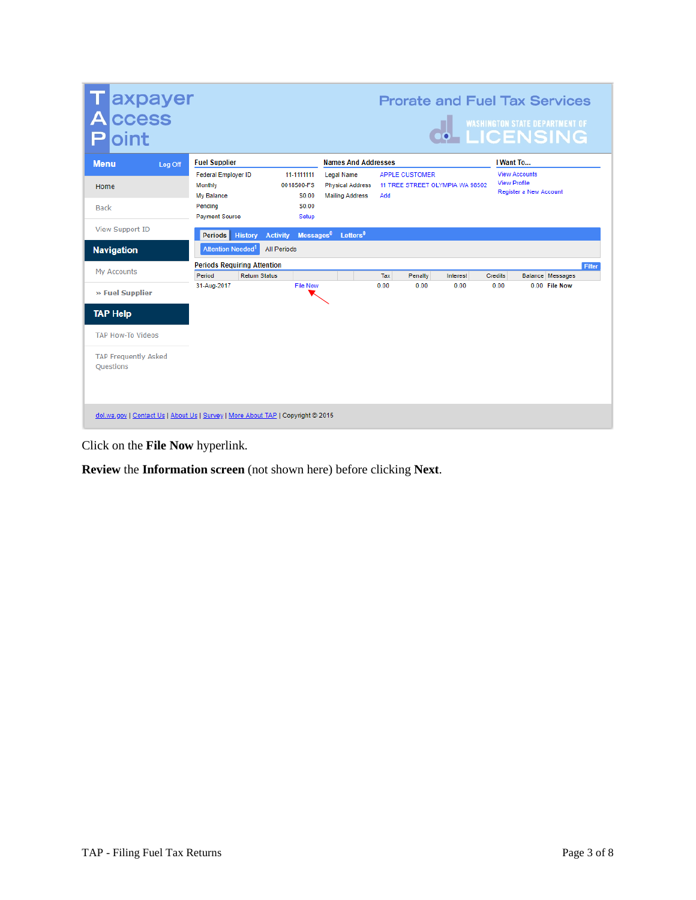| T axpayer<br>A ccess<br>loint                                                   |                                              |                                    |                                                                        |      |                       | <b>Prorate and Fuel Tax Services</b><br><b>O</b> MASHINGTON STATE DEPARTMENT OF |                     |                                                |               |        |
|---------------------------------------------------------------------------------|----------------------------------------------|------------------------------------|------------------------------------------------------------------------|------|-----------------------|---------------------------------------------------------------------------------|---------------------|------------------------------------------------|---------------|--------|
| <b>Menu</b><br>Log Off                                                          | <b>Fuel Supplier</b>                         |                                    | <b>Names And Addresses</b>                                             |      |                       |                                                                                 | I Want To           |                                                |               |        |
| Home                                                                            | Federal Employer ID<br>Monthly<br>My Balance | 11-1111111<br>0018500-FS<br>\$0.00 | <b>Legal Name</b><br><b>Physical Address</b><br><b>Mailing Address</b> | Add  | <b>APPLE CUSTOMER</b> | 11 TREE STREET OLYMPIA WA 98502                                                 | <b>View Profile</b> | <b>View Accounts</b><br>Register a New Account |               |        |
| <b>Back</b>                                                                     | Pending<br><b>Payment Source</b>             | \$0.00<br>Setup                    |                                                                        |      |                       |                                                                                 |                     |                                                |               |        |
| <b>View Support ID</b>                                                          | Periods History                              | <b>Activity</b>                    | Messages <sup>0</sup> Letters <sup>0</sup>                             |      |                       |                                                                                 |                     |                                                |               |        |
| <b>Navigation</b>                                                               | <b>Attention Needed<sup>1</sup></b>          | <b>All Periods</b>                 |                                                                        |      |                       |                                                                                 |                     |                                                |               |        |
|                                                                                 | <b>Periods Requiring Attention</b>           |                                    |                                                                        |      |                       |                                                                                 |                     |                                                |               | Filter |
| My Accounts                                                                     | Period<br><b>Return Status</b>               |                                    |                                                                        | Tax  | Penalty               | Interest                                                                        | <b>Credits</b>      | <b>Balance Messages</b>                        |               |        |
| » Fuel Supplier                                                                 | 31-Aug-2017                                  | <b>File Now</b>                    |                                                                        | 0.00 | 0.00                  | 0.00                                                                            | 0.00                |                                                | 0.00 File Now |        |
| <b>TAP Help</b>                                                                 |                                              |                                    |                                                                        |      |                       |                                                                                 |                     |                                                |               |        |
| <b>TAP How-To Videos</b>                                                        |                                              |                                    |                                                                        |      |                       |                                                                                 |                     |                                                |               |        |
| <b>TAP Frequently Asked</b><br><b>Ouestions</b>                                 |                                              |                                    |                                                                        |      |                       |                                                                                 |                     |                                                |               |        |
| dol.wa.gov   Contact Us   About Us   Survey   More About TAP   Copyright @ 2015 |                                              |                                    |                                                                        |      |                       |                                                                                 |                     |                                                |               |        |

Click on the **File Now** hyperlink.

**Review** the **Information screen** (not shown here) before clicking **Next**.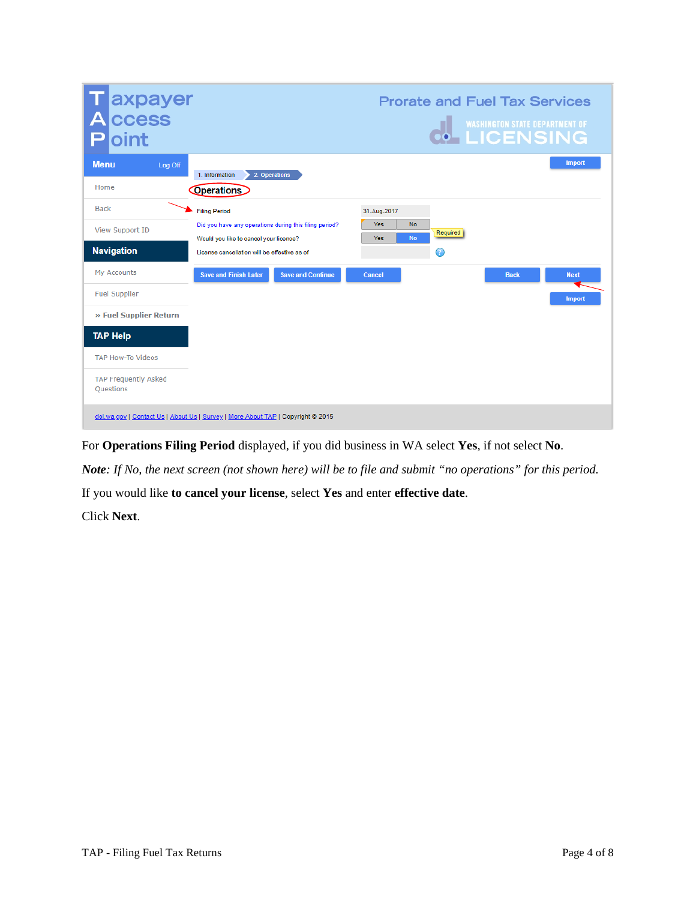| <b>T</b> axpayer<br><b>CCESS</b><br>А<br>loint<br>P |                                                                                                  | <b>Prorate and Fuel Tax Services</b><br><b>CO-LICENSING</b> |
|-----------------------------------------------------|--------------------------------------------------------------------------------------------------|-------------------------------------------------------------|
| <b>Menu</b><br>Log Off                              | 2. Operations<br>1. Information                                                                  | <b>Import</b>                                               |
| Home                                                | <b>Operations</b>                                                                                |                                                             |
| <b>Back</b>                                         | <b>Filing Period</b>                                                                             | 31-Aug-2017                                                 |
| <b>View Support ID</b>                              | Did you have any operations during this filing period?<br>Would you like to cancel your license? | Yes<br><b>No</b><br>Required<br><b>No</b><br>Yes            |
| <b>Navigation</b>                                   | License cancellation will be effective as of                                                     | ⋒                                                           |
| My Accounts                                         | <b>Save and Finish Later</b><br><b>Save and Continue</b>                                         | Cancel<br><b>Back</b><br><b>Next</b>                        |
| <b>Fuel Supplier</b>                                |                                                                                                  | <b>Import</b>                                               |
| » Fuel Supplier Return                              |                                                                                                  |                                                             |
| <b>TAP Help</b>                                     |                                                                                                  |                                                             |
| <b>TAP How-To Videos</b>                            |                                                                                                  |                                                             |
| <b>TAP Frequently Asked</b><br><b>Ouestions</b>     |                                                                                                  |                                                             |
|                                                     | dol.wa.gov   Contact Us   About Us   Survey   More About TAP   Copyright @ 2015                  |                                                             |

For **Operations Filing Period** displayed, if you did business in WA select **Yes**, if not select **No**.

*Note: If No, the next screen (not shown here) will be to file and submit "no operations" for this period.*

If you would like **to cancel your license**, select **Yes** and enter **effective date**.

Click **Next**.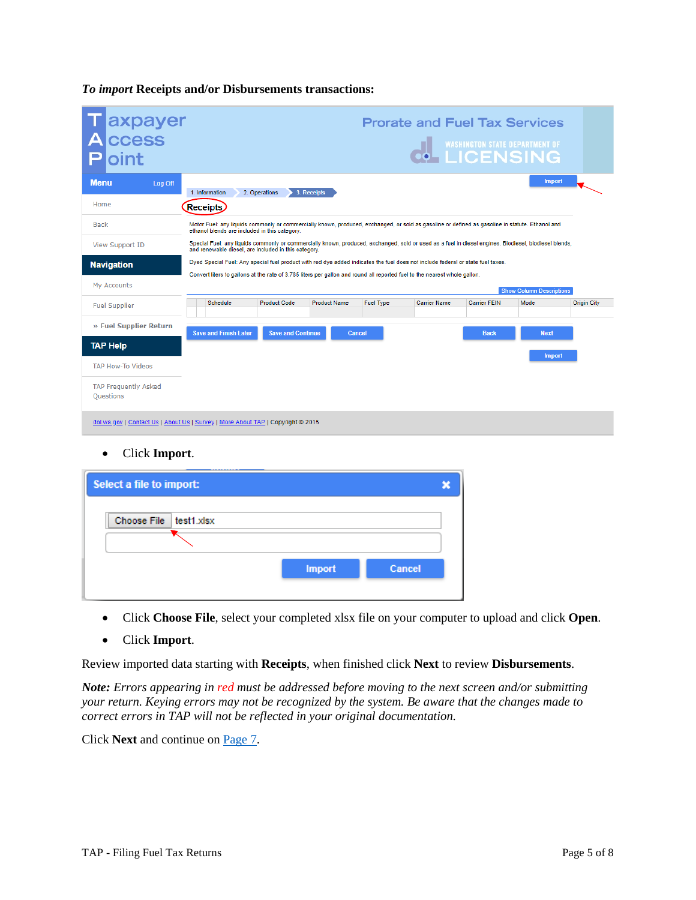*To import* **Receipts and/or Disbursements transactions:**

| axpayer<br><b>CCESS</b><br>oint                                                 |                                                                                                                                                                                                               |                          |                     |                  | <b>Prorate and Fuel Tax Services</b> |                     | <b>THE WASHINGTON STATE DEPARTMENT OF<br/>!© LICENSING</b> |                    |
|---------------------------------------------------------------------------------|---------------------------------------------------------------------------------------------------------------------------------------------------------------------------------------------------------------|--------------------------|---------------------|------------------|--------------------------------------|---------------------|------------------------------------------------------------|--------------------|
| <b>Menu</b><br>Log Off                                                          | 1. Information                                                                                                                                                                                                | 2. Operations            | 3. Receipts         |                  |                                      |                     | <b>Import</b>                                              |                    |
| Home                                                                            | Receipts                                                                                                                                                                                                      |                          |                     |                  |                                      |                     |                                                            |                    |
| <b>Back</b>                                                                     | Motor Fuel: any liquids commonly or commercially known, produced, exchanged, or sold as gasoline or defined as gasoline in statute. Ethanol and<br>ethanol blends are included in this category.              |                          |                     |                  |                                      |                     |                                                            |                    |
| <b>View Support ID</b>                                                          | Special Fuel: any liquids commonly or commercially known, produced, exchanged, sold or used as a fuel in diesel engines. Biodiesel, biodiesel blends,<br>and renewable diesel, are included in this category. |                          |                     |                  |                                      |                     |                                                            |                    |
| <b>Navigation</b>                                                               | Dyed Special Fuel: Any special fuel product with red dye added indicates the fuel does not include federal or state fuel taxes.                                                                               |                          |                     |                  |                                      |                     |                                                            |                    |
| My Accounts                                                                     | Convert liters to gallons at the rate of 3.785 liters per gallon and round all reported fuel to the nearest whole gallon.                                                                                     |                          |                     |                  |                                      |                     | <b>Show Column Descriptions</b>                            |                    |
| <b>Fuel Supplier</b>                                                            | <b>Schedule</b>                                                                                                                                                                                               | <b>Product Code</b>      | <b>Product Name</b> | <b>Fuel Type</b> | <b>Carrier Name</b>                  | <b>Carrier FEIN</b> | Mode                                                       | <b>Origin City</b> |
| » Fuel Supplier Return                                                          | <b>Save and Finish Later</b>                                                                                                                                                                                  | <b>Save and Continue</b> |                     | Cancel           |                                      | <b>Back</b>         | <b>Next</b>                                                |                    |
| <b>TAP Help</b>                                                                 |                                                                                                                                                                                                               |                          |                     |                  |                                      |                     |                                                            |                    |
| <b>TAP How-To Videos</b>                                                        |                                                                                                                                                                                                               |                          |                     |                  |                                      |                     | <b>Import</b>                                              |                    |
| <b>TAP Frequently Asked</b><br><b>Ouestions</b>                                 |                                                                                                                                                                                                               |                          |                     |                  |                                      |                     |                                                            |                    |
| dol.wa.gov   Contact Us   About Us   Survey   More About TAP   Copyright @ 2015 |                                                                                                                                                                                                               |                          |                     |                  |                                      |                     |                                                            |                    |

• Click **Import**.

| Select a file to import: |               |        |
|--------------------------|---------------|--------|
| Choose File   test1.xlsx |               |        |
|                          |               |        |
|                          | <b>Import</b> | Cancel |
|                          |               |        |

- Click **Choose File**, select your completed xlsx file on your computer to upload and click **Open**.
- Click **Import**.

Review imported data starting with **Receipts**, when finished click **Next** to review **Disbursements**.

*Note: Errors appearing in red must be addressed before moving to the next screen and/or submitting your return. Keying errors may not be recognized by the system. Be aware that the changes made to correct errors in TAP will not be reflected in your original documentation.* 

Click **Next** and continue on [Page 7.](#page-6-0)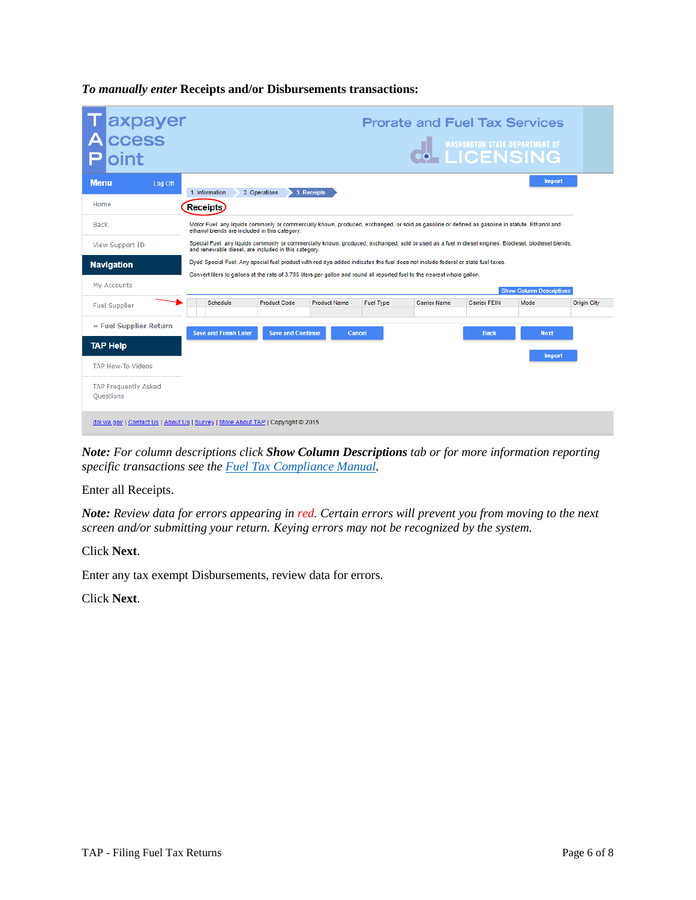### *To manually enter* **Receipts and/or Disbursements transactions:**

| axpayer<br><b>CCESS</b><br>oint                                                 |                                                                                                                                                                                                               |                          |                     |                  | <b>Prorate and Fuel Tax Services</b> | <b>OP LICENSING</b> |                                 |                    |
|---------------------------------------------------------------------------------|---------------------------------------------------------------------------------------------------------------------------------------------------------------------------------------------------------------|--------------------------|---------------------|------------------|--------------------------------------|---------------------|---------------------------------|--------------------|
| <b>Menu</b><br>Log Off                                                          | 1. Information                                                                                                                                                                                                | 2. Operations            | 3. Receipts         |                  |                                      |                     | <b>Import</b>                   |                    |
| Home                                                                            | Receipts)                                                                                                                                                                                                     |                          |                     |                  |                                      |                     |                                 |                    |
| Back                                                                            | Motor Fuel: any liquids commonly or commercially known, produced, exchanged, or sold as gasoline or defined as gasoline in statute. Ethanol and<br>ethanol blends are included in this category.              |                          |                     |                  |                                      |                     |                                 |                    |
| View Support ID                                                                 | Special Fuel: any liquids commonly or commercially known, produced, exchanged, sold or used as a fuel in diesel engines. Biodiesel, biodiesel blends,<br>and renewable diesel, are included in this category. |                          |                     |                  |                                      |                     |                                 |                    |
| <b>Navigation</b>                                                               | Dyed Special Fuel: Any special fuel product with red dye added indicates the fuel does not include federal or state fuel taxes.                                                                               |                          |                     |                  |                                      |                     |                                 |                    |
| <b>My Accounts</b>                                                              | Convert liters to gallons at the rate of 3.785 liters per gallon and round all reported fuel to the nearest whole gallon.                                                                                     |                          |                     |                  |                                      |                     | <b>Show Column Descriptions</b> |                    |
| <b>Fuel Supplier</b>                                                            | <b>Schedule</b>                                                                                                                                                                                               | <b>Product Code</b>      | <b>Product Name</b> | <b>Fuel Type</b> | <b>Carrier Name</b>                  | <b>Carrier FEIN</b> | Mode                            | <b>Origin City</b> |
| » Fuel Supplier Return                                                          | <b>Save and Finish Later</b>                                                                                                                                                                                  | <b>Save and Continue</b> |                     | Cancel           |                                      | <b>Back</b>         | <b>Next</b>                     |                    |
| <b>TAP Help</b>                                                                 |                                                                                                                                                                                                               |                          |                     |                  |                                      |                     |                                 |                    |
| <b>TAP How-To Videos</b>                                                        |                                                                                                                                                                                                               |                          |                     |                  |                                      |                     | Import                          |                    |
| <b>TAP Frequently Asked</b><br><b>Ouestions</b>                                 |                                                                                                                                                                                                               |                          |                     |                  |                                      |                     |                                 |                    |
| dol.wa.gov   Contact Us   About Us   Survey   More About TAP   Copyright @ 2015 |                                                                                                                                                                                                               |                          |                     |                  |                                      |                     |                                 |                    |

*Note: For column descriptions click Show Column Descriptions tab or for more information reporting specific transactions see the [Fuel Tax Compliance Manual.](https://www.dol.wa.gov/vehicleregistration/docs/fuel-tax-compliance-guide.pdf)*

Enter all Receipts.

*Note: Review data for errors appearing in red. Certain errors will prevent you from moving to the next screen and/or submitting your return. Keying errors may not be recognized by the system.*

Click **Next**.

Enter any tax exempt Disbursements, review data for errors.

Click **Next**.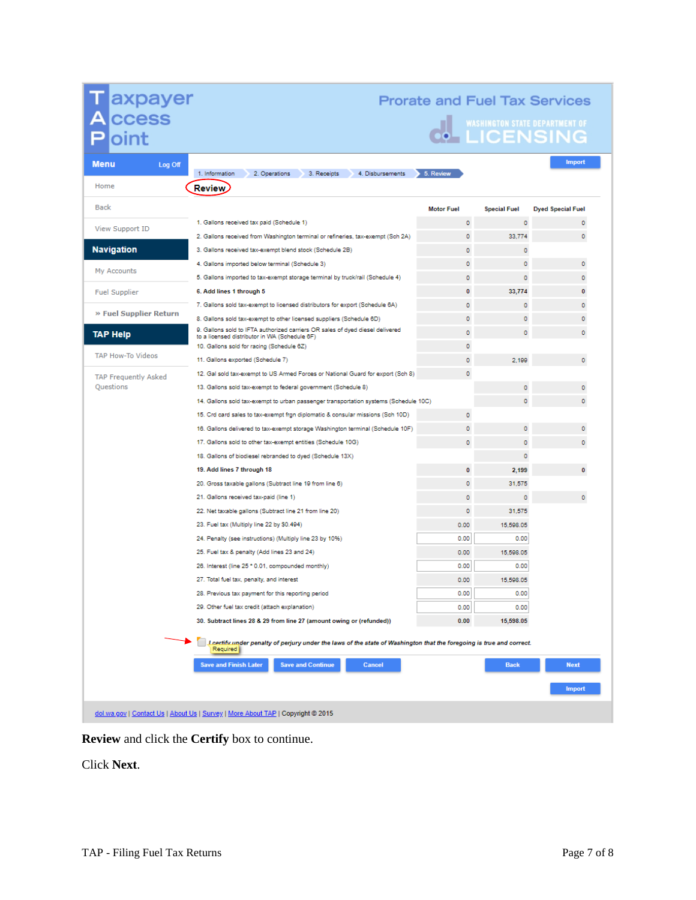| O MASHINGTON STATE DEPARTMENT OF<br>oint<br><b>Import</b><br>Log Off<br>5. Review<br>2. Operations<br>3. Receipts<br>4. Disbursements<br>1. Information<br>Home<br><b>Review</b><br><b>Motor Fuel</b><br><b>Special Fuel</b><br><b>Dyed Special Fuel</b><br>1. Gallons received tax paid (Schedule 1)<br>$\circ$<br>0<br>0<br>View Support ID<br>0<br>0<br>2. Gallons received from Washington terminal or refineries, tax-exempt (Sch 2A)<br>33.774<br>3. Gallons received tax-exempt blend stock (Schedule 2B)<br>$\bf{0}$<br>0<br>0<br>4. Gallons imported below terminal (Schedule 3)<br>$\circ$<br>0<br>My Accounts<br>5. Gallons imported to tax-exempt storage terminal by truck/rail (Schedule 4)<br>$\bf{0}$<br>0<br>$\circ$<br>6. Add lines 1 through 5<br>$\bf{0}$<br>33,774<br>0<br><b>Fuel Supplier</b><br>7. Gallons sold tax-exempt to licensed distributors for export (Schedule 6A)<br>$\circ$<br>٥<br>$\circ$<br>» Fuel Supplier Return<br>8. Gallons sold tax-exempt to other licensed suppliers (Schedule 6D)<br>$\bf{0}$<br>0<br>0<br>9. Gallons sold to IFTA authorized carriers OR sales of dyed diesel delivered<br>$\bf{0}$<br>$\circ$<br>$\bf{0}$<br><b>TAP Help</b><br>to a licensed distributor in WA (Schedule 6F)<br>$\bullet$<br>10. Gallons sold for racing (Schedule 6Z)<br><b>TAP How-To Videos</b><br>11. Gallons exported (Schedule 7)<br>$\mathbf{0}$<br>2.199<br>$\circ$<br>$\mathbf{0}$<br>12. Gal sold tax-exempt to US Armed Forces or National Guard for export (Sch 8)<br><b>TAP Frequently Asked</b><br>Questions<br>13. Gallons sold tax-exempt to federal government (Schedule 8)<br>0<br>$\bf{0}$<br>0<br>$\circ$<br>14. Gallons sold tax-exempt to urban passenger transportation systems (Schedule 10C)<br>15. Crd card sales to tax-exempt frgn diplomatic & consular missions (Sch 10D)<br>0<br>16. Gallons delivered to tax-exempt storage Washington terminal (Schedule 10F)<br>$\bf{0}$<br>0<br>$\bf{0}$<br>17. Gallons sold to other tax-exempt entities (Schedule 10G)<br>0<br>0<br>0<br>0<br>18. Gallons of biodiesel rebranded to dyed (Schedule 13X)<br>19. Add lines 7 through 18<br>0<br>2,199<br>0<br>20. Gross taxable gallons (Subtract line 19 from line 6)<br>$\bf{0}$<br>31,575<br>21. Gallons received tax-paid (line 1)<br>$\bf{0}$<br>0<br>o<br>22. Net taxable gallons (Subtract line 21 from line 20)<br>$\circ$<br>31,575<br>23. Fuel tax (Multiply line 22 by \$0.494)<br>0.00<br>15,598.05<br>24. Penalty (see instructions) (Multiply line 23 by 10%)<br>0.00<br>0.00<br>25. Fuel tax & penalty (Add lines 23 and 24)<br>0.00<br>15,598.05<br>26. Interest (line 25 * 0.01, compounded monthly)<br>0.00<br>0.00<br>27. Total fuel tax, penalty, and interest<br>0.00<br>15,598.05<br>28. Previous tax payment for this reporting period<br>0.00<br>0.00<br>29. Other fuel tax credit (attach explanation)<br>0.00<br>0.00<br>30. Subtract lines 28 & 29 from line 27 (amount owing or (refunded))<br>0.00<br>15,598.05<br>Loerfify under penalty of perjury under the laws of the state of Washington that the foregoing is true and correct.<br>Required<br><b>Save and Finish Later</b><br><b>Save and Continue</b><br><b>Cancel</b><br><b>Back</b><br><b>Next</b><br><b>Import</b><br>dol.wa.gov   Contact Us   About Us   Survey   More About TAP   Copyright @ 2015 | <b>axpayer</b>    |  | <b>Prorate and Fuel Tax Services</b> |
|------------------------------------------------------------------------------------------------------------------------------------------------------------------------------------------------------------------------------------------------------------------------------------------------------------------------------------------------------------------------------------------------------------------------------------------------------------------------------------------------------------------------------------------------------------------------------------------------------------------------------------------------------------------------------------------------------------------------------------------------------------------------------------------------------------------------------------------------------------------------------------------------------------------------------------------------------------------------------------------------------------------------------------------------------------------------------------------------------------------------------------------------------------------------------------------------------------------------------------------------------------------------------------------------------------------------------------------------------------------------------------------------------------------------------------------------------------------------------------------------------------------------------------------------------------------------------------------------------------------------------------------------------------------------------------------------------------------------------------------------------------------------------------------------------------------------------------------------------------------------------------------------------------------------------------------------------------------------------------------------------------------------------------------------------------------------------------------------------------------------------------------------------------------------------------------------------------------------------------------------------------------------------------------------------------------------------------------------------------------------------------------------------------------------------------------------------------------------------------------------------------------------------------------------------------------------------------------------------------------------------------------------------------------------------------------------------------------------------------------------------------------------------------------------------------------------------------------------------------------------------------------------------------------------------------------------------------------------------------------------------------------------------------------------------------------------------------------------------------------------------------------------------------------------------------------------------------------------------------------------------------------------------------------------------------------------------------------------------|-------------------|--|--------------------------------------|
|                                                                                                                                                                                                                                                                                                                                                                                                                                                                                                                                                                                                                                                                                                                                                                                                                                                                                                                                                                                                                                                                                                                                                                                                                                                                                                                                                                                                                                                                                                                                                                                                                                                                                                                                                                                                                                                                                                                                                                                                                                                                                                                                                                                                                                                                                                                                                                                                                                                                                                                                                                                                                                                                                                                                                                                                                                                                                                                                                                                                                                                                                                                                                                                                                                                                                                                                                      | <b>A</b> ccess    |  |                                      |
|                                                                                                                                                                                                                                                                                                                                                                                                                                                                                                                                                                                                                                                                                                                                                                                                                                                                                                                                                                                                                                                                                                                                                                                                                                                                                                                                                                                                                                                                                                                                                                                                                                                                                                                                                                                                                                                                                                                                                                                                                                                                                                                                                                                                                                                                                                                                                                                                                                                                                                                                                                                                                                                                                                                                                                                                                                                                                                                                                                                                                                                                                                                                                                                                                                                                                                                                                      |                   |  |                                      |
|                                                                                                                                                                                                                                                                                                                                                                                                                                                                                                                                                                                                                                                                                                                                                                                                                                                                                                                                                                                                                                                                                                                                                                                                                                                                                                                                                                                                                                                                                                                                                                                                                                                                                                                                                                                                                                                                                                                                                                                                                                                                                                                                                                                                                                                                                                                                                                                                                                                                                                                                                                                                                                                                                                                                                                                                                                                                                                                                                                                                                                                                                                                                                                                                                                                                                                                                                      |                   |  |                                      |
|                                                                                                                                                                                                                                                                                                                                                                                                                                                                                                                                                                                                                                                                                                                                                                                                                                                                                                                                                                                                                                                                                                                                                                                                                                                                                                                                                                                                                                                                                                                                                                                                                                                                                                                                                                                                                                                                                                                                                                                                                                                                                                                                                                                                                                                                                                                                                                                                                                                                                                                                                                                                                                                                                                                                                                                                                                                                                                                                                                                                                                                                                                                                                                                                                                                                                                                                                      | <b>Menu</b>       |  |                                      |
|                                                                                                                                                                                                                                                                                                                                                                                                                                                                                                                                                                                                                                                                                                                                                                                                                                                                                                                                                                                                                                                                                                                                                                                                                                                                                                                                                                                                                                                                                                                                                                                                                                                                                                                                                                                                                                                                                                                                                                                                                                                                                                                                                                                                                                                                                                                                                                                                                                                                                                                                                                                                                                                                                                                                                                                                                                                                                                                                                                                                                                                                                                                                                                                                                                                                                                                                                      |                   |  |                                      |
|                                                                                                                                                                                                                                                                                                                                                                                                                                                                                                                                                                                                                                                                                                                                                                                                                                                                                                                                                                                                                                                                                                                                                                                                                                                                                                                                                                                                                                                                                                                                                                                                                                                                                                                                                                                                                                                                                                                                                                                                                                                                                                                                                                                                                                                                                                                                                                                                                                                                                                                                                                                                                                                                                                                                                                                                                                                                                                                                                                                                                                                                                                                                                                                                                                                                                                                                                      |                   |  |                                      |
|                                                                                                                                                                                                                                                                                                                                                                                                                                                                                                                                                                                                                                                                                                                                                                                                                                                                                                                                                                                                                                                                                                                                                                                                                                                                                                                                                                                                                                                                                                                                                                                                                                                                                                                                                                                                                                                                                                                                                                                                                                                                                                                                                                                                                                                                                                                                                                                                                                                                                                                                                                                                                                                                                                                                                                                                                                                                                                                                                                                                                                                                                                                                                                                                                                                                                                                                                      | <b>Back</b>       |  |                                      |
|                                                                                                                                                                                                                                                                                                                                                                                                                                                                                                                                                                                                                                                                                                                                                                                                                                                                                                                                                                                                                                                                                                                                                                                                                                                                                                                                                                                                                                                                                                                                                                                                                                                                                                                                                                                                                                                                                                                                                                                                                                                                                                                                                                                                                                                                                                                                                                                                                                                                                                                                                                                                                                                                                                                                                                                                                                                                                                                                                                                                                                                                                                                                                                                                                                                                                                                                                      |                   |  |                                      |
|                                                                                                                                                                                                                                                                                                                                                                                                                                                                                                                                                                                                                                                                                                                                                                                                                                                                                                                                                                                                                                                                                                                                                                                                                                                                                                                                                                                                                                                                                                                                                                                                                                                                                                                                                                                                                                                                                                                                                                                                                                                                                                                                                                                                                                                                                                                                                                                                                                                                                                                                                                                                                                                                                                                                                                                                                                                                                                                                                                                                                                                                                                                                                                                                                                                                                                                                                      |                   |  |                                      |
|                                                                                                                                                                                                                                                                                                                                                                                                                                                                                                                                                                                                                                                                                                                                                                                                                                                                                                                                                                                                                                                                                                                                                                                                                                                                                                                                                                                                                                                                                                                                                                                                                                                                                                                                                                                                                                                                                                                                                                                                                                                                                                                                                                                                                                                                                                                                                                                                                                                                                                                                                                                                                                                                                                                                                                                                                                                                                                                                                                                                                                                                                                                                                                                                                                                                                                                                                      | <b>Navigation</b> |  |                                      |
|                                                                                                                                                                                                                                                                                                                                                                                                                                                                                                                                                                                                                                                                                                                                                                                                                                                                                                                                                                                                                                                                                                                                                                                                                                                                                                                                                                                                                                                                                                                                                                                                                                                                                                                                                                                                                                                                                                                                                                                                                                                                                                                                                                                                                                                                                                                                                                                                                                                                                                                                                                                                                                                                                                                                                                                                                                                                                                                                                                                                                                                                                                                                                                                                                                                                                                                                                      |                   |  |                                      |
|                                                                                                                                                                                                                                                                                                                                                                                                                                                                                                                                                                                                                                                                                                                                                                                                                                                                                                                                                                                                                                                                                                                                                                                                                                                                                                                                                                                                                                                                                                                                                                                                                                                                                                                                                                                                                                                                                                                                                                                                                                                                                                                                                                                                                                                                                                                                                                                                                                                                                                                                                                                                                                                                                                                                                                                                                                                                                                                                                                                                                                                                                                                                                                                                                                                                                                                                                      |                   |  |                                      |
|                                                                                                                                                                                                                                                                                                                                                                                                                                                                                                                                                                                                                                                                                                                                                                                                                                                                                                                                                                                                                                                                                                                                                                                                                                                                                                                                                                                                                                                                                                                                                                                                                                                                                                                                                                                                                                                                                                                                                                                                                                                                                                                                                                                                                                                                                                                                                                                                                                                                                                                                                                                                                                                                                                                                                                                                                                                                                                                                                                                                                                                                                                                                                                                                                                                                                                                                                      |                   |  |                                      |
|                                                                                                                                                                                                                                                                                                                                                                                                                                                                                                                                                                                                                                                                                                                                                                                                                                                                                                                                                                                                                                                                                                                                                                                                                                                                                                                                                                                                                                                                                                                                                                                                                                                                                                                                                                                                                                                                                                                                                                                                                                                                                                                                                                                                                                                                                                                                                                                                                                                                                                                                                                                                                                                                                                                                                                                                                                                                                                                                                                                                                                                                                                                                                                                                                                                                                                                                                      |                   |  |                                      |
|                                                                                                                                                                                                                                                                                                                                                                                                                                                                                                                                                                                                                                                                                                                                                                                                                                                                                                                                                                                                                                                                                                                                                                                                                                                                                                                                                                                                                                                                                                                                                                                                                                                                                                                                                                                                                                                                                                                                                                                                                                                                                                                                                                                                                                                                                                                                                                                                                                                                                                                                                                                                                                                                                                                                                                                                                                                                                                                                                                                                                                                                                                                                                                                                                                                                                                                                                      |                   |  |                                      |
|                                                                                                                                                                                                                                                                                                                                                                                                                                                                                                                                                                                                                                                                                                                                                                                                                                                                                                                                                                                                                                                                                                                                                                                                                                                                                                                                                                                                                                                                                                                                                                                                                                                                                                                                                                                                                                                                                                                                                                                                                                                                                                                                                                                                                                                                                                                                                                                                                                                                                                                                                                                                                                                                                                                                                                                                                                                                                                                                                                                                                                                                                                                                                                                                                                                                                                                                                      |                   |  |                                      |
|                                                                                                                                                                                                                                                                                                                                                                                                                                                                                                                                                                                                                                                                                                                                                                                                                                                                                                                                                                                                                                                                                                                                                                                                                                                                                                                                                                                                                                                                                                                                                                                                                                                                                                                                                                                                                                                                                                                                                                                                                                                                                                                                                                                                                                                                                                                                                                                                                                                                                                                                                                                                                                                                                                                                                                                                                                                                                                                                                                                                                                                                                                                                                                                                                                                                                                                                                      |                   |  |                                      |
|                                                                                                                                                                                                                                                                                                                                                                                                                                                                                                                                                                                                                                                                                                                                                                                                                                                                                                                                                                                                                                                                                                                                                                                                                                                                                                                                                                                                                                                                                                                                                                                                                                                                                                                                                                                                                                                                                                                                                                                                                                                                                                                                                                                                                                                                                                                                                                                                                                                                                                                                                                                                                                                                                                                                                                                                                                                                                                                                                                                                                                                                                                                                                                                                                                                                                                                                                      |                   |  |                                      |
|                                                                                                                                                                                                                                                                                                                                                                                                                                                                                                                                                                                                                                                                                                                                                                                                                                                                                                                                                                                                                                                                                                                                                                                                                                                                                                                                                                                                                                                                                                                                                                                                                                                                                                                                                                                                                                                                                                                                                                                                                                                                                                                                                                                                                                                                                                                                                                                                                                                                                                                                                                                                                                                                                                                                                                                                                                                                                                                                                                                                                                                                                                                                                                                                                                                                                                                                                      |                   |  |                                      |
|                                                                                                                                                                                                                                                                                                                                                                                                                                                                                                                                                                                                                                                                                                                                                                                                                                                                                                                                                                                                                                                                                                                                                                                                                                                                                                                                                                                                                                                                                                                                                                                                                                                                                                                                                                                                                                                                                                                                                                                                                                                                                                                                                                                                                                                                                                                                                                                                                                                                                                                                                                                                                                                                                                                                                                                                                                                                                                                                                                                                                                                                                                                                                                                                                                                                                                                                                      |                   |  |                                      |
|                                                                                                                                                                                                                                                                                                                                                                                                                                                                                                                                                                                                                                                                                                                                                                                                                                                                                                                                                                                                                                                                                                                                                                                                                                                                                                                                                                                                                                                                                                                                                                                                                                                                                                                                                                                                                                                                                                                                                                                                                                                                                                                                                                                                                                                                                                                                                                                                                                                                                                                                                                                                                                                                                                                                                                                                                                                                                                                                                                                                                                                                                                                                                                                                                                                                                                                                                      |                   |  |                                      |
|                                                                                                                                                                                                                                                                                                                                                                                                                                                                                                                                                                                                                                                                                                                                                                                                                                                                                                                                                                                                                                                                                                                                                                                                                                                                                                                                                                                                                                                                                                                                                                                                                                                                                                                                                                                                                                                                                                                                                                                                                                                                                                                                                                                                                                                                                                                                                                                                                                                                                                                                                                                                                                                                                                                                                                                                                                                                                                                                                                                                                                                                                                                                                                                                                                                                                                                                                      |                   |  |                                      |
|                                                                                                                                                                                                                                                                                                                                                                                                                                                                                                                                                                                                                                                                                                                                                                                                                                                                                                                                                                                                                                                                                                                                                                                                                                                                                                                                                                                                                                                                                                                                                                                                                                                                                                                                                                                                                                                                                                                                                                                                                                                                                                                                                                                                                                                                                                                                                                                                                                                                                                                                                                                                                                                                                                                                                                                                                                                                                                                                                                                                                                                                                                                                                                                                                                                                                                                                                      |                   |  |                                      |
|                                                                                                                                                                                                                                                                                                                                                                                                                                                                                                                                                                                                                                                                                                                                                                                                                                                                                                                                                                                                                                                                                                                                                                                                                                                                                                                                                                                                                                                                                                                                                                                                                                                                                                                                                                                                                                                                                                                                                                                                                                                                                                                                                                                                                                                                                                                                                                                                                                                                                                                                                                                                                                                                                                                                                                                                                                                                                                                                                                                                                                                                                                                                                                                                                                                                                                                                                      |                   |  |                                      |
|                                                                                                                                                                                                                                                                                                                                                                                                                                                                                                                                                                                                                                                                                                                                                                                                                                                                                                                                                                                                                                                                                                                                                                                                                                                                                                                                                                                                                                                                                                                                                                                                                                                                                                                                                                                                                                                                                                                                                                                                                                                                                                                                                                                                                                                                                                                                                                                                                                                                                                                                                                                                                                                                                                                                                                                                                                                                                                                                                                                                                                                                                                                                                                                                                                                                                                                                                      |                   |  |                                      |
|                                                                                                                                                                                                                                                                                                                                                                                                                                                                                                                                                                                                                                                                                                                                                                                                                                                                                                                                                                                                                                                                                                                                                                                                                                                                                                                                                                                                                                                                                                                                                                                                                                                                                                                                                                                                                                                                                                                                                                                                                                                                                                                                                                                                                                                                                                                                                                                                                                                                                                                                                                                                                                                                                                                                                                                                                                                                                                                                                                                                                                                                                                                                                                                                                                                                                                                                                      |                   |  |                                      |
|                                                                                                                                                                                                                                                                                                                                                                                                                                                                                                                                                                                                                                                                                                                                                                                                                                                                                                                                                                                                                                                                                                                                                                                                                                                                                                                                                                                                                                                                                                                                                                                                                                                                                                                                                                                                                                                                                                                                                                                                                                                                                                                                                                                                                                                                                                                                                                                                                                                                                                                                                                                                                                                                                                                                                                                                                                                                                                                                                                                                                                                                                                                                                                                                                                                                                                                                                      |                   |  |                                      |
|                                                                                                                                                                                                                                                                                                                                                                                                                                                                                                                                                                                                                                                                                                                                                                                                                                                                                                                                                                                                                                                                                                                                                                                                                                                                                                                                                                                                                                                                                                                                                                                                                                                                                                                                                                                                                                                                                                                                                                                                                                                                                                                                                                                                                                                                                                                                                                                                                                                                                                                                                                                                                                                                                                                                                                                                                                                                                                                                                                                                                                                                                                                                                                                                                                                                                                                                                      |                   |  |                                      |
|                                                                                                                                                                                                                                                                                                                                                                                                                                                                                                                                                                                                                                                                                                                                                                                                                                                                                                                                                                                                                                                                                                                                                                                                                                                                                                                                                                                                                                                                                                                                                                                                                                                                                                                                                                                                                                                                                                                                                                                                                                                                                                                                                                                                                                                                                                                                                                                                                                                                                                                                                                                                                                                                                                                                                                                                                                                                                                                                                                                                                                                                                                                                                                                                                                                                                                                                                      |                   |  |                                      |
|                                                                                                                                                                                                                                                                                                                                                                                                                                                                                                                                                                                                                                                                                                                                                                                                                                                                                                                                                                                                                                                                                                                                                                                                                                                                                                                                                                                                                                                                                                                                                                                                                                                                                                                                                                                                                                                                                                                                                                                                                                                                                                                                                                                                                                                                                                                                                                                                                                                                                                                                                                                                                                                                                                                                                                                                                                                                                                                                                                                                                                                                                                                                                                                                                                                                                                                                                      |                   |  |                                      |
|                                                                                                                                                                                                                                                                                                                                                                                                                                                                                                                                                                                                                                                                                                                                                                                                                                                                                                                                                                                                                                                                                                                                                                                                                                                                                                                                                                                                                                                                                                                                                                                                                                                                                                                                                                                                                                                                                                                                                                                                                                                                                                                                                                                                                                                                                                                                                                                                                                                                                                                                                                                                                                                                                                                                                                                                                                                                                                                                                                                                                                                                                                                                                                                                                                                                                                                                                      |                   |  |                                      |
|                                                                                                                                                                                                                                                                                                                                                                                                                                                                                                                                                                                                                                                                                                                                                                                                                                                                                                                                                                                                                                                                                                                                                                                                                                                                                                                                                                                                                                                                                                                                                                                                                                                                                                                                                                                                                                                                                                                                                                                                                                                                                                                                                                                                                                                                                                                                                                                                                                                                                                                                                                                                                                                                                                                                                                                                                                                                                                                                                                                                                                                                                                                                                                                                                                                                                                                                                      |                   |  |                                      |
|                                                                                                                                                                                                                                                                                                                                                                                                                                                                                                                                                                                                                                                                                                                                                                                                                                                                                                                                                                                                                                                                                                                                                                                                                                                                                                                                                                                                                                                                                                                                                                                                                                                                                                                                                                                                                                                                                                                                                                                                                                                                                                                                                                                                                                                                                                                                                                                                                                                                                                                                                                                                                                                                                                                                                                                                                                                                                                                                                                                                                                                                                                                                                                                                                                                                                                                                                      |                   |  |                                      |
|                                                                                                                                                                                                                                                                                                                                                                                                                                                                                                                                                                                                                                                                                                                                                                                                                                                                                                                                                                                                                                                                                                                                                                                                                                                                                                                                                                                                                                                                                                                                                                                                                                                                                                                                                                                                                                                                                                                                                                                                                                                                                                                                                                                                                                                                                                                                                                                                                                                                                                                                                                                                                                                                                                                                                                                                                                                                                                                                                                                                                                                                                                                                                                                                                                                                                                                                                      |                   |  |                                      |
|                                                                                                                                                                                                                                                                                                                                                                                                                                                                                                                                                                                                                                                                                                                                                                                                                                                                                                                                                                                                                                                                                                                                                                                                                                                                                                                                                                                                                                                                                                                                                                                                                                                                                                                                                                                                                                                                                                                                                                                                                                                                                                                                                                                                                                                                                                                                                                                                                                                                                                                                                                                                                                                                                                                                                                                                                                                                                                                                                                                                                                                                                                                                                                                                                                                                                                                                                      |                   |  |                                      |
|                                                                                                                                                                                                                                                                                                                                                                                                                                                                                                                                                                                                                                                                                                                                                                                                                                                                                                                                                                                                                                                                                                                                                                                                                                                                                                                                                                                                                                                                                                                                                                                                                                                                                                                                                                                                                                                                                                                                                                                                                                                                                                                                                                                                                                                                                                                                                                                                                                                                                                                                                                                                                                                                                                                                                                                                                                                                                                                                                                                                                                                                                                                                                                                                                                                                                                                                                      |                   |  |                                      |
|                                                                                                                                                                                                                                                                                                                                                                                                                                                                                                                                                                                                                                                                                                                                                                                                                                                                                                                                                                                                                                                                                                                                                                                                                                                                                                                                                                                                                                                                                                                                                                                                                                                                                                                                                                                                                                                                                                                                                                                                                                                                                                                                                                                                                                                                                                                                                                                                                                                                                                                                                                                                                                                                                                                                                                                                                                                                                                                                                                                                                                                                                                                                                                                                                                                                                                                                                      |                   |  |                                      |
|                                                                                                                                                                                                                                                                                                                                                                                                                                                                                                                                                                                                                                                                                                                                                                                                                                                                                                                                                                                                                                                                                                                                                                                                                                                                                                                                                                                                                                                                                                                                                                                                                                                                                                                                                                                                                                                                                                                                                                                                                                                                                                                                                                                                                                                                                                                                                                                                                                                                                                                                                                                                                                                                                                                                                                                                                                                                                                                                                                                                                                                                                                                                                                                                                                                                                                                                                      |                   |  |                                      |
|                                                                                                                                                                                                                                                                                                                                                                                                                                                                                                                                                                                                                                                                                                                                                                                                                                                                                                                                                                                                                                                                                                                                                                                                                                                                                                                                                                                                                                                                                                                                                                                                                                                                                                                                                                                                                                                                                                                                                                                                                                                                                                                                                                                                                                                                                                                                                                                                                                                                                                                                                                                                                                                                                                                                                                                                                                                                                                                                                                                                                                                                                                                                                                                                                                                                                                                                                      |                   |  |                                      |
|                                                                                                                                                                                                                                                                                                                                                                                                                                                                                                                                                                                                                                                                                                                                                                                                                                                                                                                                                                                                                                                                                                                                                                                                                                                                                                                                                                                                                                                                                                                                                                                                                                                                                                                                                                                                                                                                                                                                                                                                                                                                                                                                                                                                                                                                                                                                                                                                                                                                                                                                                                                                                                                                                                                                                                                                                                                                                                                                                                                                                                                                                                                                                                                                                                                                                                                                                      |                   |  |                                      |
|                                                                                                                                                                                                                                                                                                                                                                                                                                                                                                                                                                                                                                                                                                                                                                                                                                                                                                                                                                                                                                                                                                                                                                                                                                                                                                                                                                                                                                                                                                                                                                                                                                                                                                                                                                                                                                                                                                                                                                                                                                                                                                                                                                                                                                                                                                                                                                                                                                                                                                                                                                                                                                                                                                                                                                                                                                                                                                                                                                                                                                                                                                                                                                                                                                                                                                                                                      |                   |  |                                      |
|                                                                                                                                                                                                                                                                                                                                                                                                                                                                                                                                                                                                                                                                                                                                                                                                                                                                                                                                                                                                                                                                                                                                                                                                                                                                                                                                                                                                                                                                                                                                                                                                                                                                                                                                                                                                                                                                                                                                                                                                                                                                                                                                                                                                                                                                                                                                                                                                                                                                                                                                                                                                                                                                                                                                                                                                                                                                                                                                                                                                                                                                                                                                                                                                                                                                                                                                                      |                   |  |                                      |

<span id="page-6-0"></span>

Click **Next**.